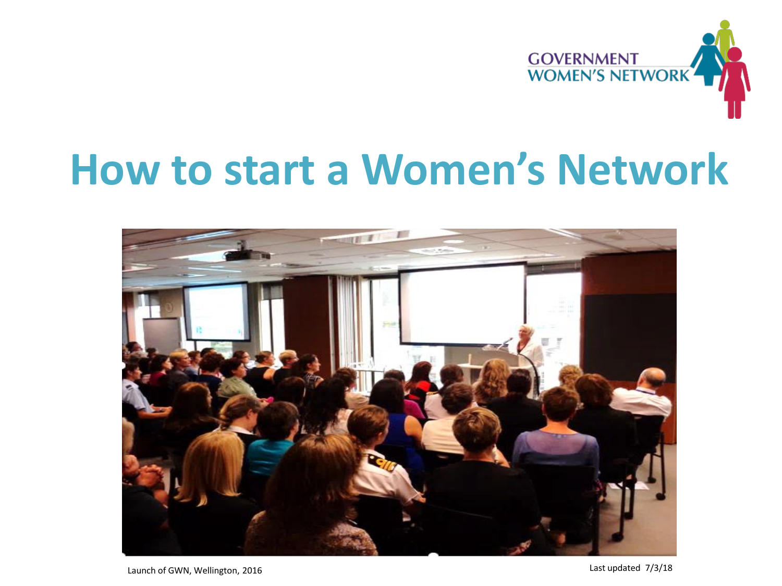

#### **How to start a Women's Network**



Launch of GWN, Wellington, 2016 2008 2016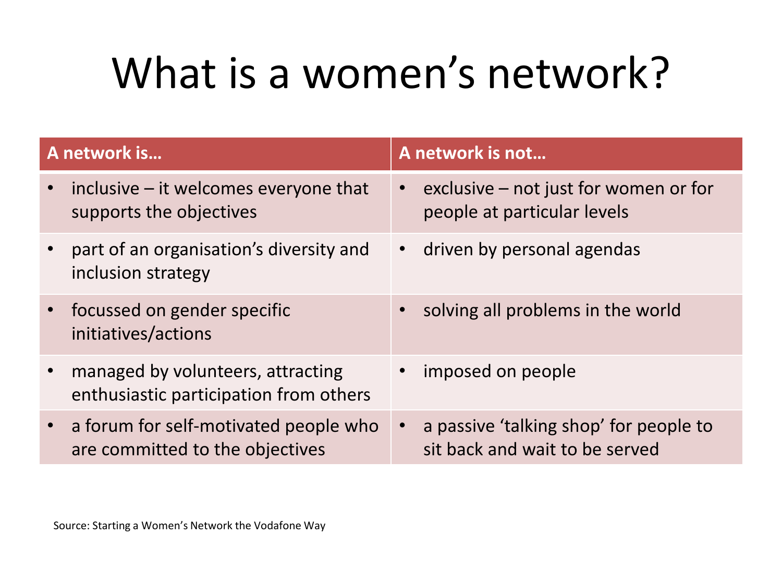## What is a women's network?

| A network is                                                                | A network is not                        |
|-----------------------------------------------------------------------------|-----------------------------------------|
| inclusive $-$ it welcomes everyone that                                     | exclusive $-$ not just for women or for |
| $\bullet$                                                                   | $\bullet$                               |
| supports the objectives                                                     | people at particular levels             |
| part of an organisation's diversity and                                     | driven by personal agendas              |
| inclusion strategy                                                          | $\bullet$                               |
| focussed on gender specific<br>$\bullet$ .<br>initiatives/actions           | solving all problems in the world       |
| managed by volunteers, attracting<br>enthusiastic participation from others | imposed on people                       |
| a forum for self-motivated people who                                       | a passive 'talking shop' for people to  |
| $\bullet$ .                                                                 | $\bullet$                               |
| are committed to the objectives                                             | sit back and wait to be served          |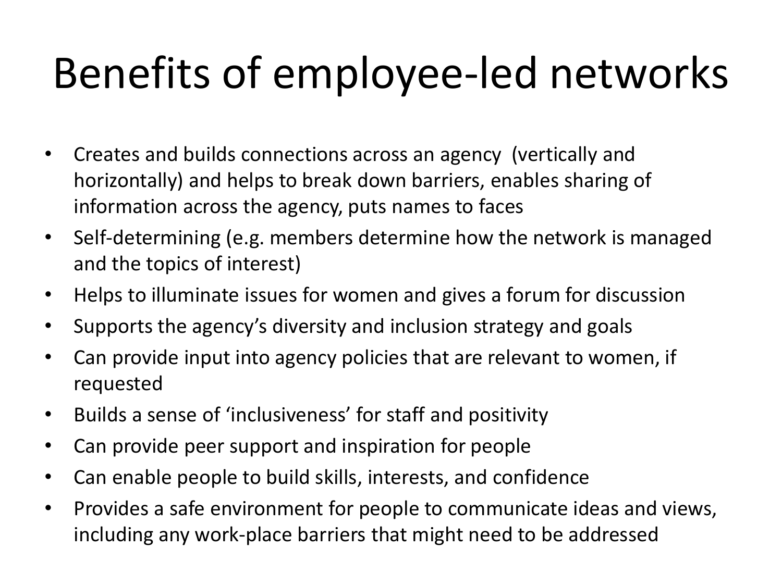## Benefits of employee-led networks

- Creates and builds connections across an agency (vertically and horizontally) and helps to break down barriers, enables sharing of information across the agency, puts names to faces
- Self-determining (e.g. members determine how the network is managed and the topics of interest)
- Helps to illuminate issues for women and gives a forum for discussion
- Supports the agency's diversity and inclusion strategy and goals
- Can provide input into agency policies that are relevant to women, if requested
- Builds a sense of 'inclusiveness' for staff and positivity
- Can provide peer support and inspiration for people
- Can enable people to build skills, interests, and confidence
- Provides a safe environment for people to communicate ideas and views, including any work-place barriers that might need to be addressed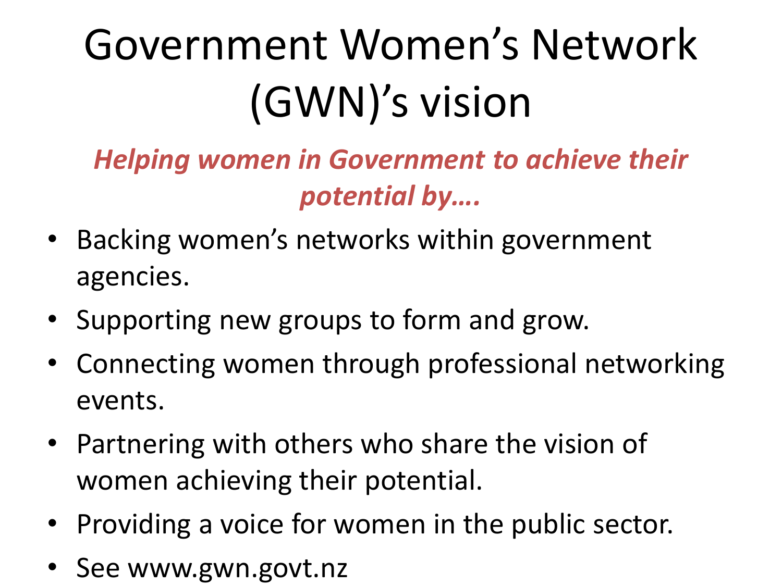# Government Women's Network (GWN)'s vision

*Helping women in Government to achieve their potential by….*

- Backing women's networks within government agencies.
- Supporting new groups to form and grow.
- Connecting women through professional networking events.
- Partnering with others who share the vision of women achieving their potential.
- Providing a voice for women in the public sector.
- See www.gwn.govt.nz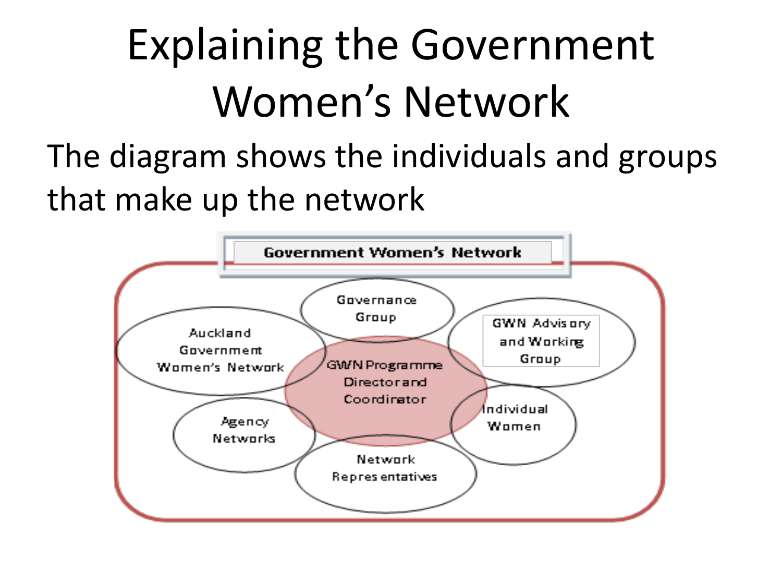## Explaining the Government Women's Network

The diagram shows the individuals and groups that make up the network

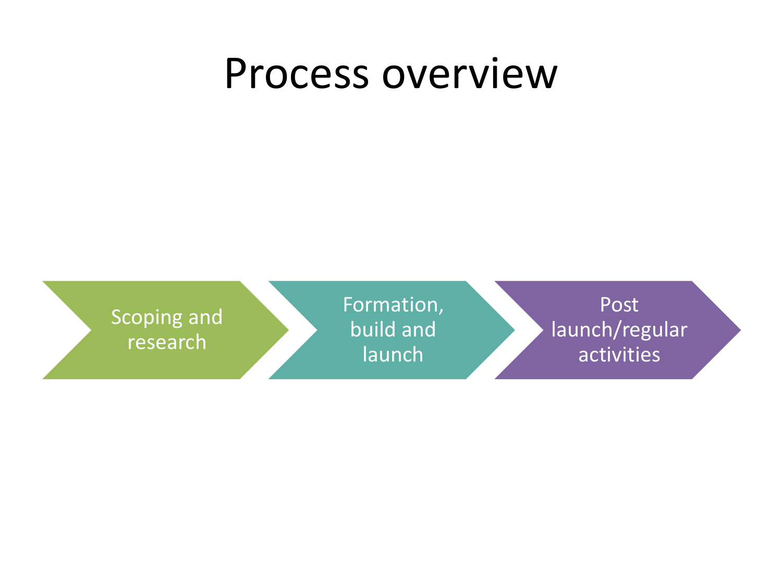#### Process overview

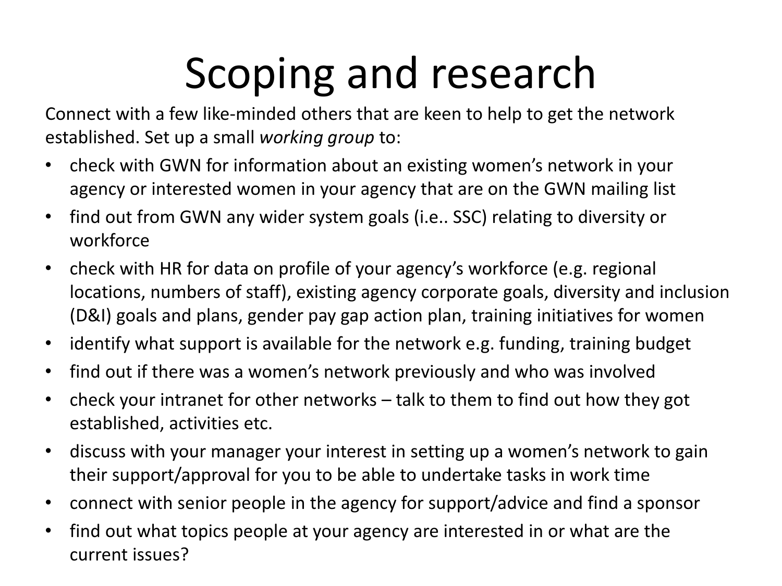## Scoping and research

Connect with a few like-minded others that are keen to help to get the network established. Set up a small *working group* to:

- check with GWN for information about an existing women's network in your agency or interested women in your agency that are on the GWN mailing list
- find out from GWN any wider system goals (i.e.. SSC) relating to diversity or workforce
- check with HR for data on profile of your agency's workforce (e.g. regional locations, numbers of staff), existing agency corporate goals, diversity and inclusion (D&I) goals and plans, gender pay gap action plan, training initiatives for women
- identify what support is available for the network e.g. funding, training budget
- find out if there was a women's network previously and who was involved
- check your intranet for other networks talk to them to find out how they got established, activities etc.
- discuss with your manager your interest in setting up a women's network to gain their support/approval for you to be able to undertake tasks in work time
- connect with senior people in the agency for support/advice and find a sponsor
- find out what topics people at your agency are interested in or what are the current issues?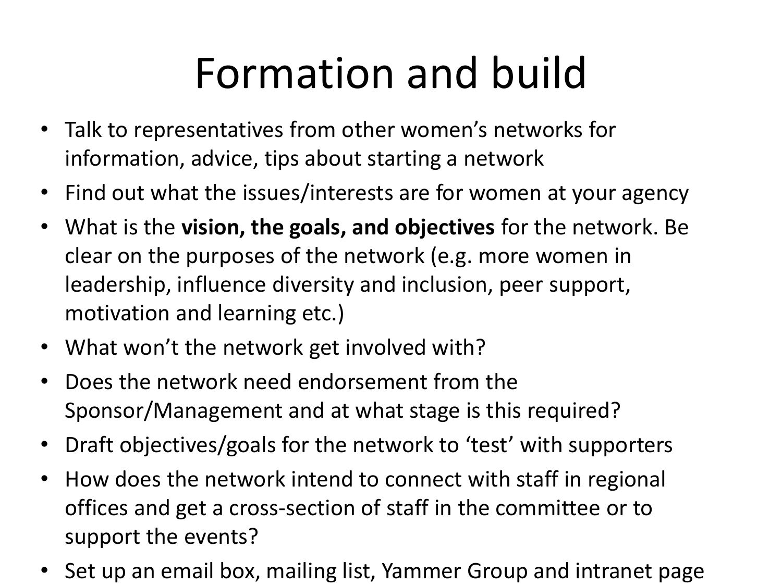## Formation and build

- Talk to representatives from other women's networks for information, advice, tips about starting a network
- Find out what the issues/interests are for women at your agency
- What is the **vision, the goals, and objectives** for the network. Be clear on the purposes of the network (e.g. more women in leadership, influence diversity and inclusion, peer support, motivation and learning etc.)
- What won't the network get involved with?
- Does the network need endorsement from the Sponsor/Management and at what stage is this required?
- Draft objectives/goals for the network to 'test' with supporters
- How does the network intend to connect with staff in regional offices and get a cross-section of staff in the committee or to support the events?
- Set up an email box, mailing list, Yammer Group and intranet page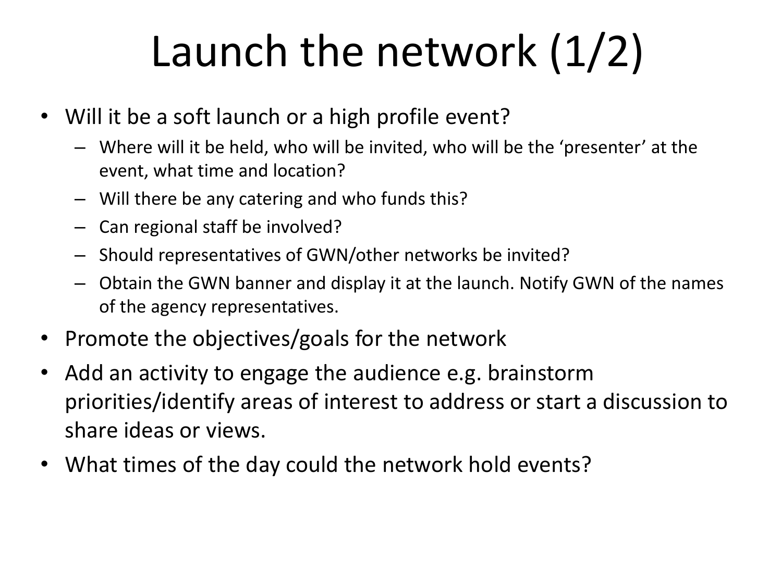## Launch the network (1/2)

- Will it be a soft launch or a high profile event?
	- Where will it be held, who will be invited, who will be the 'presenter' at the event, what time and location?
	- Will there be any catering and who funds this?
	- Can regional staff be involved?
	- Should representatives of GWN/other networks be invited?
	- Obtain the GWN banner and display it at the launch. Notify GWN of the names of the agency representatives.
- Promote the objectives/goals for the network
- Add an activity to engage the audience e.g. brainstorm priorities/identify areas of interest to address or start a discussion to share ideas or views.
- What times of the day could the network hold events?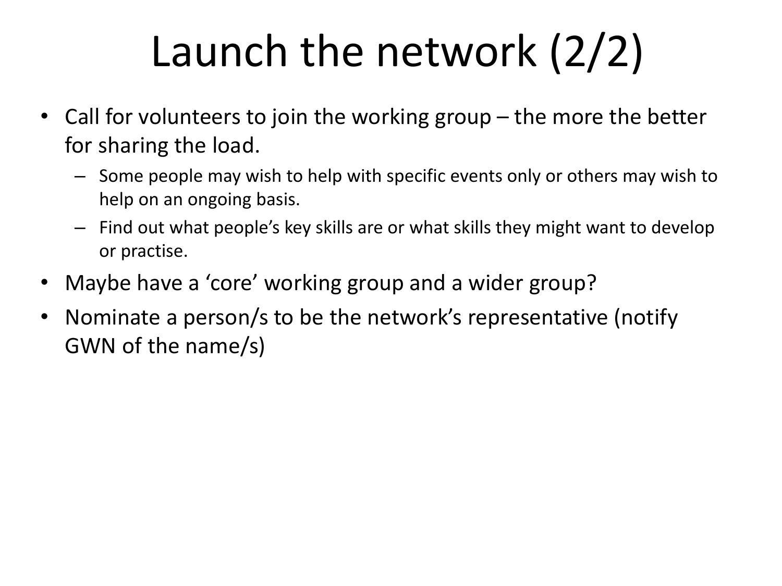## Launch the network (2/2)

- Call for volunteers to join the working group  $-$  the more the better for sharing the load.
	- Some people may wish to help with specific events only or others may wish to help on an ongoing basis.
	- Find out what people's key skills are or what skills they might want to develop or practise.
- Maybe have a 'core' working group and a wider group?
- Nominate a person/s to be the network's representative (notify GWN of the name/s)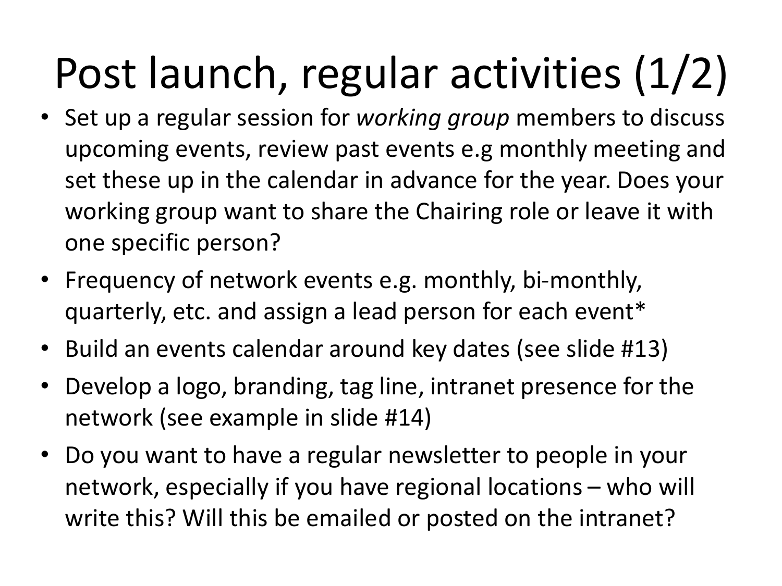# Post launch, regular activities (1/2)

- Set up a regular session for *working group* members to discuss upcoming events, review past events e.g monthly meeting and set these up in the calendar in advance for the year. Does your working group want to share the Chairing role or leave it with one specific person?
- Frequency of network events e.g. monthly, bi-monthly, quarterly, etc. and assign a lead person for each event\*
- Build an events calendar around key dates (see slide #13)
- Develop a logo, branding, tag line, intranet presence for the network (see example in slide #14)
- Do you want to have a regular newsletter to people in your network, especially if you have regional locations – who will write this? Will this be emailed or posted on the intranet?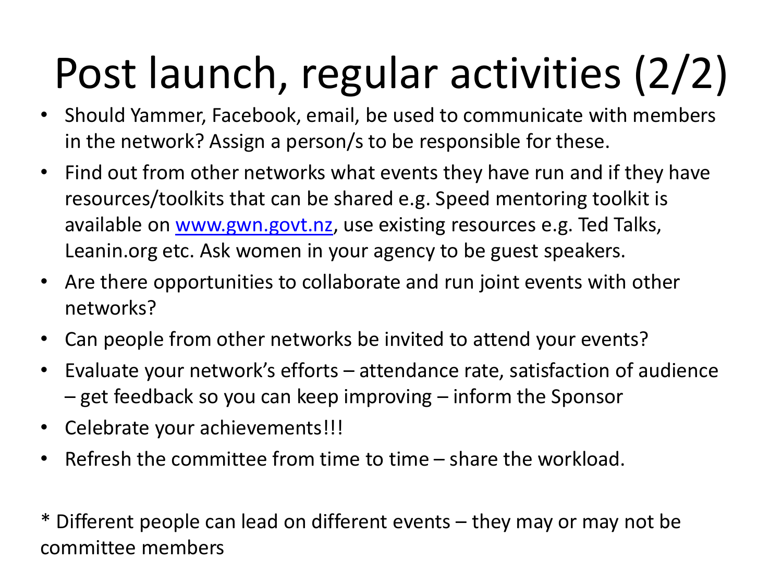# Post launch, regular activities (2/2)

- Should Yammer, Facebook, email, be used to communicate with members in the network? Assign a person/s to be responsible for these.
- Find out from other networks what events they have run and if they have resources/toolkits that can be shared e.g. Speed mentoring toolkit is available on [www.gwn.govt.nz,](http://www.gwn.govt.nz/) use existing resources e.g. Ted Talks, Leanin.org etc. Ask women in your agency to be guest speakers.
- Are there opportunities to collaborate and run joint events with other networks?
- Can people from other networks be invited to attend your events?
- Evaluate your network's efforts attendance rate, satisfaction of audience – get feedback so you can keep improving – inform the Sponsor
- Celebrate your achievements!!!
- Refresh the committee from time to time share the workload.

\* Different people can lead on different events – they may or may not be committee members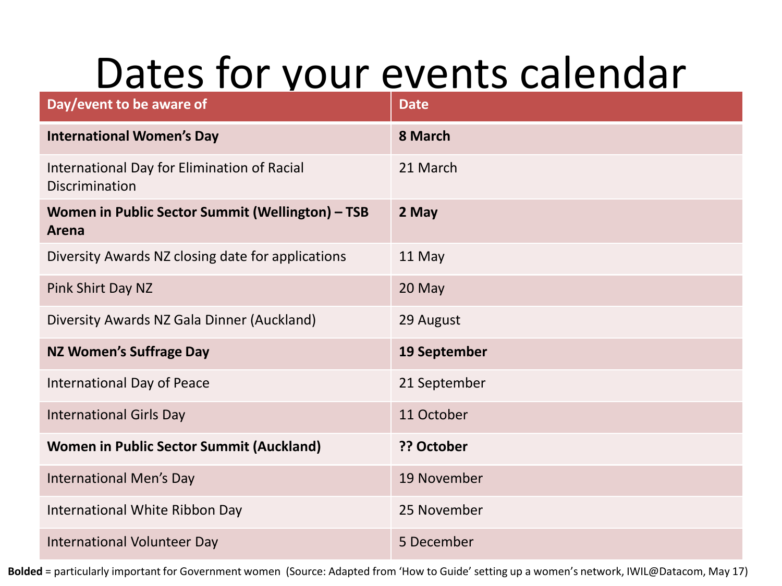#### Dates for your events calendar

| Day/event to be aware of                                      | <b>Date</b>  |
|---------------------------------------------------------------|--------------|
| <b>International Women's Day</b>                              | 8 March      |
| International Day for Elimination of Racial<br>Discrimination | 21 March     |
| Women in Public Sector Summit (Wellington) - TSB<br>Arena     | 2 May        |
| Diversity Awards NZ closing date for applications             | 11 May       |
| Pink Shirt Day NZ                                             | 20 May       |
| Diversity Awards NZ Gala Dinner (Auckland)                    | 29 August    |
| <b>NZ Women's Suffrage Day</b>                                | 19 September |
| International Day of Peace                                    | 21 September |
| <b>International Girls Day</b>                                | 11 October   |
| <b>Women in Public Sector Summit (Auckland)</b>               | ?? October   |
| <b>International Men's Day</b>                                | 19 November  |
| International White Ribbon Day                                | 25 November  |
| International Volunteer Day                                   | 5 December   |

**Bolded** = particularly important for Government women (Source: Adapted from 'How to Guide' setting up a women's network, IWIL@Datacom, May 17)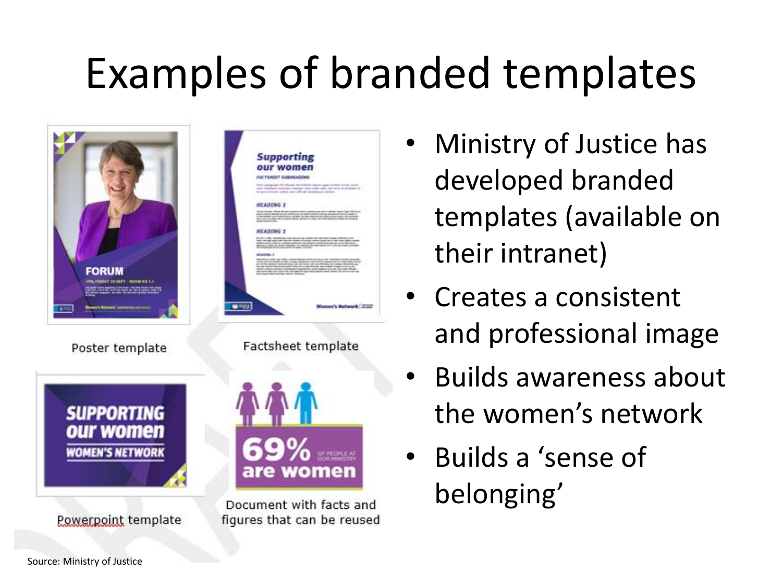## Examples of branded templates



- Ministry of Justice has developed branded templates (available on their intranet)
- Creates a consistent and professional image
- Builds awareness about the women's network
- Builds a 'sense of belonging'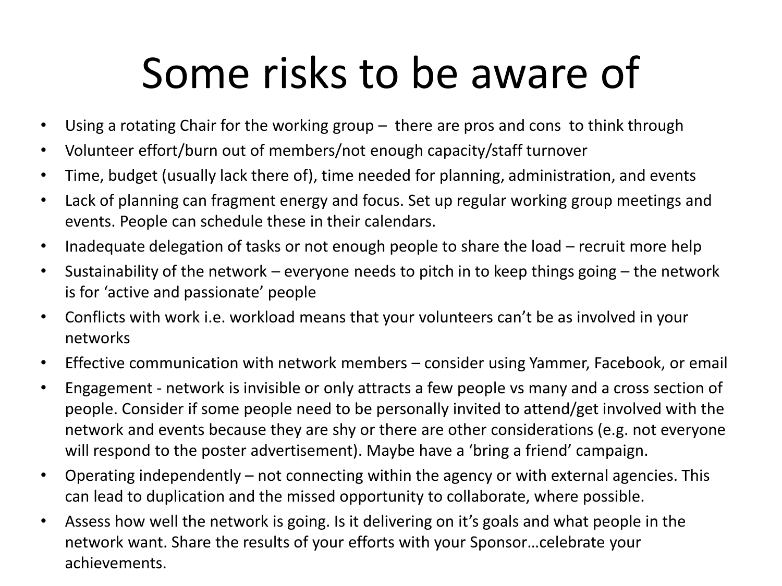### Some risks to be aware of

- Using a rotating Chair for the working group there are pros and cons to think through
- Volunteer effort/burn out of members/not enough capacity/staff turnover
- Time, budget (usually lack there of), time needed for planning, administration, and events
- Lack of planning can fragment energy and focus. Set up regular working group meetings and events. People can schedule these in their calendars.
- Inadequate delegation of tasks or not enough people to share the load recruit more help
- Sustainability of the network everyone needs to pitch in to keep things going the network is for 'active and passionate' people
- Conflicts with work i.e. workload means that your volunteers can't be as involved in your networks
- Effective communication with network members consider using Yammer, Facebook, or email
- Engagement network is invisible or only attracts a few people vs many and a cross section of people. Consider if some people need to be personally invited to attend/get involved with the network and events because they are shy or there are other considerations (e.g. not everyone will respond to the poster advertisement). Maybe have a 'bring a friend' campaign.
- Operating independently not connecting within the agency or with external agencies. This can lead to duplication and the missed opportunity to collaborate, where possible.
- Assess how well the network is going. Is it delivering on it's goals and what people in the network want. Share the results of your efforts with your Sponsor…celebrate your achievements.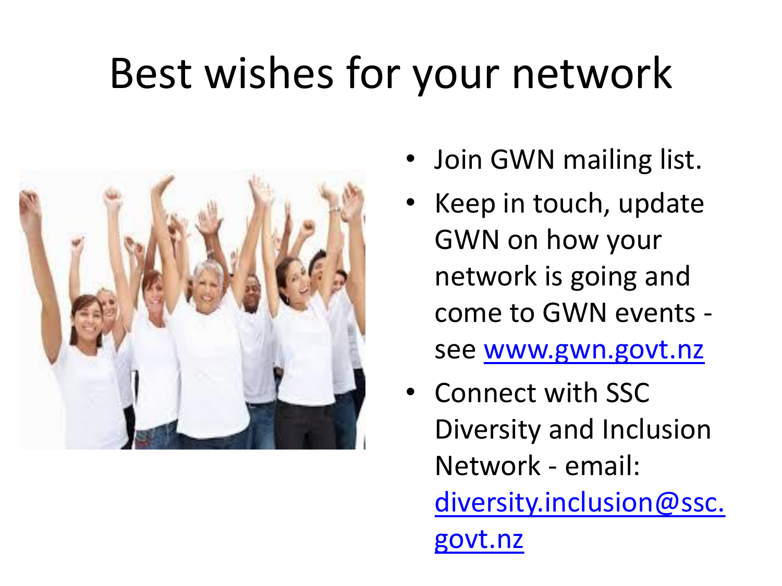#### Best wishes for your network



- Join GWN mailing list.
- Keep in touch, update GWN on how your network is going and come to GWN events see [www.gwn.govt.nz](http://www.gwn.govt.nz/)
- Connect with SSC Diversity and Inclusion Network - email: [diversity.inclusion@ssc.](mailto:diversity.inclusion@ssc.govt.nz) govt.nz